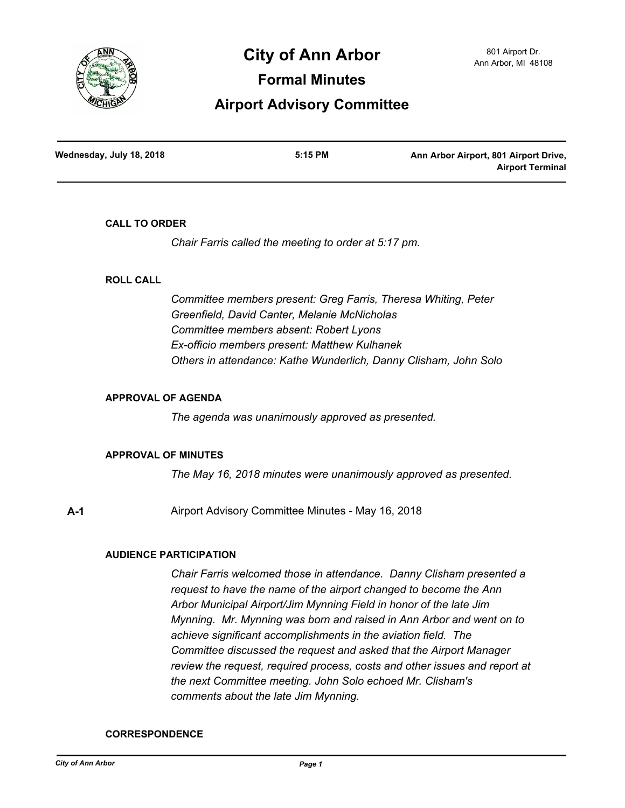

# **City of Ann Arbor** 801 Airport Dr.

**Formal Minutes**

## **Airport Advisory Committee**

| Wednesday, July 18, 2018 | 5:15 PM | Ann Arbor Airport, 801 Airport Drive, |
|--------------------------|---------|---------------------------------------|
|                          |         | <b>Airport Terminal</b>               |

#### **CALL TO ORDER**

*Chair Farris called the meeting to order at 5:17 pm.*

#### **ROLL CALL**

*Committee members present: Greg Farris, Theresa Whiting, Peter Greenfield, David Canter, Melanie McNicholas Committee members absent: Robert Lyons Ex-officio members present: Matthew Kulhanek Others in attendance: Kathe Wunderlich, Danny Clisham, John Solo*

### **APPROVAL OF AGENDA**

*The agenda was unanimously approved as presented.*

#### **APPROVAL OF MINUTES**

*The May 16, 2018 minutes were unanimously approved as presented.*

**A-1** Airport Advisory Committee Minutes - May 16, 2018

### **AUDIENCE PARTICIPATION**

*Chair Farris welcomed those in attendance. Danny Clisham presented a request to have the name of the airport changed to become the Ann Arbor Municipal Airport/Jim Mynning Field in honor of the late Jim Mynning. Mr. Mynning was born and raised in Ann Arbor and went on to achieve significant accomplishments in the aviation field. The Committee discussed the request and asked that the Airport Manager review the request, required process, costs and other issues and report at the next Committee meeting. John Solo echoed Mr. Clisham's comments about the late Jim Mynning.*

#### **CORRESPONDENCE**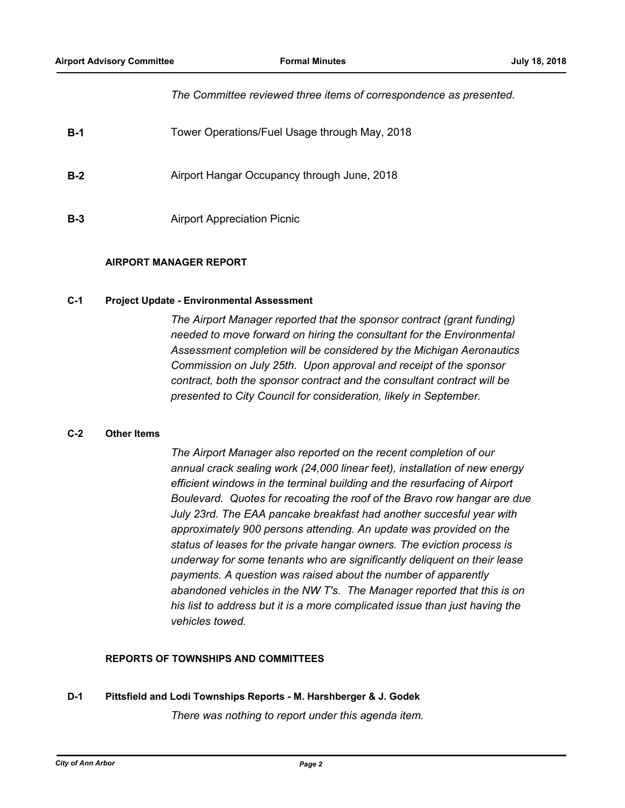#### *The Committee reviewed three items of correspondence as presented.*

| $B-1$ | Tower Operations/Fuel Usage through May, 2018 |
|-------|-----------------------------------------------|
| $B-2$ | Airport Hangar Occupancy through June, 2018   |
| $B-3$ | <b>Airport Appreciation Picnic</b>            |

#### **AIRPORT MANAGER REPORT**

#### **C-1 Project Update - Environmental Assessment**

*The Airport Manager reported that the sponsor contract (grant funding) needed to move forward on hiring the consultant for the Environmental Assessment completion will be considered by the Michigan Aeronautics Commission on July 25th. Upon approval and receipt of the sponsor contract, both the sponsor contract and the consultant contract will be presented to City Council for consideration, likely in September.*

#### **C-2 Other Items**

*The Airport Manager also reported on the recent completion of our annual crack sealing work (24,000 linear feet), installation of new energy efficient windows in the terminal building and the resurfacing of Airport Boulevard. Quotes for recoating the roof of the Bravo row hangar are due July 23rd. The EAA pancake breakfast had another succesful year with approximately 900 persons attending. An update was provided on the status of leases for the private hangar owners. The eviction process is underway for some tenants who are significantly deliquent on their lease payments. A question was raised about the number of apparently abandoned vehicles in the NW T's. The Manager reported that this is on his list to address but it is a more complicated issue than just having the vehicles towed.*

#### **REPORTS OF TOWNSHIPS AND COMMITTEES**

### **D-1 Pittsfield and Lodi Townships Reports - M. Harshberger & J. Godek**

*There was nothing to report under this agenda item.*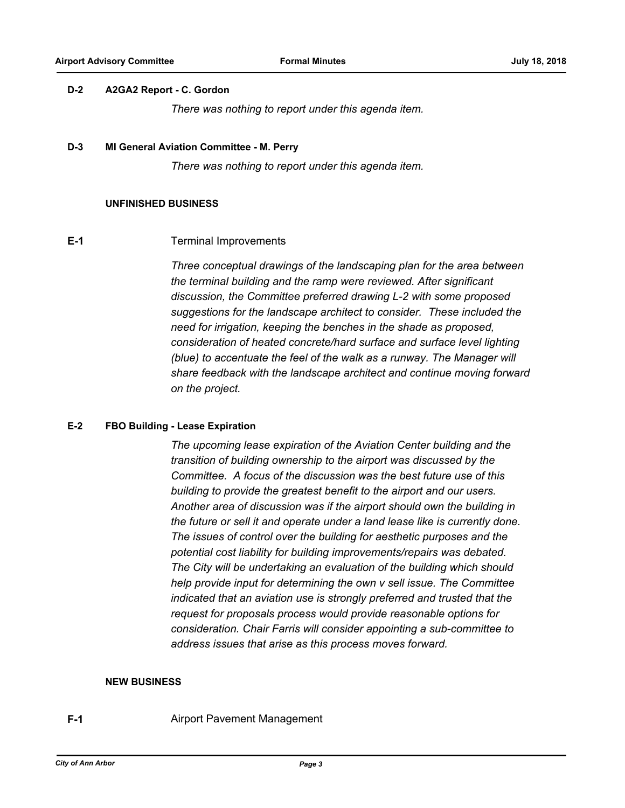#### **D-2 A2GA2 Report - C. Gordon**

*There was nothing to report under this agenda item.*

#### **D-3 MI General Aviation Committee - M. Perry**

*There was nothing to report under this agenda item.*

#### **UNFINISHED BUSINESS**

#### **E-1** Terminal Improvements

*Three conceptual drawings of the landscaping plan for the area between the terminal building and the ramp were reviewed. After significant discussion, the Committee preferred drawing L-2 with some proposed suggestions for the landscape architect to consider. These included the need for irrigation, keeping the benches in the shade as proposed, consideration of heated concrete/hard surface and surface level lighting (blue) to accentuate the feel of the walk as a runway. The Manager will share feedback with the landscape architect and continue moving forward on the project.*

#### **E-2 FBO Building - Lease Expiration**

*The upcoming lease expiration of the Aviation Center building and the transition of building ownership to the airport was discussed by the Committee. A focus of the discussion was the best future use of this building to provide the greatest benefit to the airport and our users. Another area of discussion was if the airport should own the building in the future or sell it and operate under a land lease like is currently done. The issues of control over the building for aesthetic purposes and the potential cost liability for building improvements/repairs was debated. The City will be undertaking an evaluation of the building which should help provide input for determining the own v sell issue. The Committee indicated that an aviation use is strongly preferred and trusted that the request for proposals process would provide reasonable options for consideration. Chair Farris will consider appointing a sub-committee to address issues that arise as this process moves forward.*

#### **NEW BUSINESS**

**F-1 Airport Pavement Management**